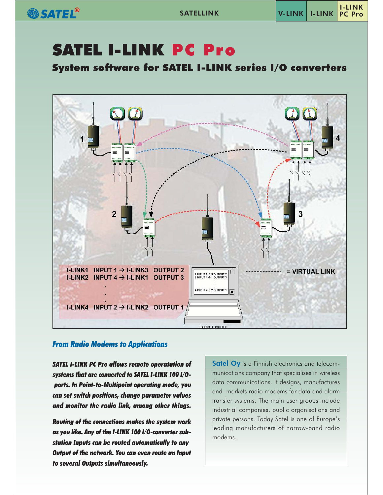SATEL®

# **SATEL I-LINK PC Pro**

**System software for SATEL I-LINK series I/O converters** 



# **From Radio Modems to Applications**

**SATEL I-LINK PC Pro allows remote operatation of** systems that are connected to SATEL I-LINK 100 I/Oports. In Point-to-Multipoint operating mode, you can set switch positions, change parameter values and monitor the radio link, among other things.

**Routing of the connections makes the system work** as you like. Any of the I-LINK 100 I/O-converter substation Inputs can be routed automatically to any Output of the network. You can even route an Input to several Outputs simultaneously.

Satel Oy is a Finnish electronics and telecommunications company that specialises in wireless data communications. It designs, manufactures and markets radio modems for data and alarm transfer systems. The main user groups include industrial companies, public organisations and private persons. Today Satel is one of Europe's leading manufacturers of narrow-band radio modems.